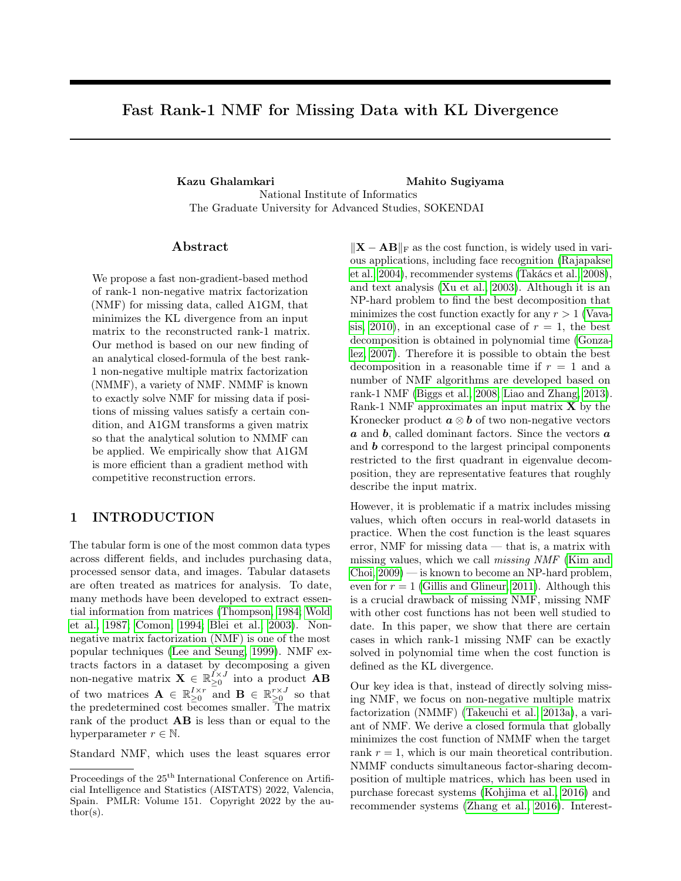## Fast Rank-1 NMF for Missing Data with KL Divergence

Kazu Ghalamkari **Mahito** Sugiyama National Institute of Informatics The Graduate University for Advanced Studies, SOKENDAI

## ${\rm Abstract}$

We propose a fast non-gradient-based method of rank-1 non-negative matrix factorization (NMF) for missing data, called A1GM, that minimizes the KL divergence from an input matrix to the reconstructed rank-1 matrix. Our method is based on our new finding of an analytical closed-formula of the best rank-1 non-negative multiple matrix factorization (NMMF), a variety of NMF. NMMF is known to exactly solve NMF for missing data if positions of missing values satisfy a certain condition, and A1GM transforms a given matrix so that the analytical solution to NMMF can be applied. We empirically show that A1GM is more efficient than a gradient method with competitive reconstruction errors.

## 1 INTRODUCTION

The tabular form is one of the most common data types across different fields, and includes purchasing data, processed sensor data, and images. Tabular datasets are often treated as matrices for analysis. To date, many methods have been developed to extract essential information from matrices [\(Thompson, 1984;](#page-9-0) [Wold](#page-9-1) [et al., 1987;](#page-9-1) [Comon, 1994;](#page-8-0) [Blei et al., 2003\)](#page-8-1). Nonnegative matrix factorization (NMF) is one of the most popular techniques [\(Lee and Seung, 1999\)](#page-9-2). NMF extracts factors in a dataset by decomposing a given non-negative matrix  $\mathbf{X} \in \mathbb{R}_{\geq 0}^{I \times J}$  into a product  $\mathbf{A}\mathbf{B}$ of two matrices  $\mathbf{A} \in \mathbb{R}_{\geq 0}^{I \times r}$  and  $\mathbf{B} \in \mathbb{R}_{\geq 0}^{r \times J}$  so that the predetermined cost becomes smaller. The matrix rank of the product AB is less than or equal to the hyperparameter  $r \in \mathbb{N}$ .

Standard NMF, which uses the least squares error

 $\|\mathbf{X} - \mathbf{A}\mathbf{B}\|_{\text{F}}$  as the cost function, is widely used in various applications, including face recognition [\(Rajapakse](#page-9-3) [et al., 2004\)](#page-9-3), recommender systems [\(Takács et al., 2008\)](#page-9-4), and text analysis [\(Xu et al., 2003\)](#page-9-5). Although it is an NP-hard problem to find the best decomposition that minimizes the cost function exactly for any  $r > 1$  [\(Vava](#page-9-6)[sis, 2010\)](#page-9-6), in an exceptional case of  $r = 1$ , the best decomposition is obtained in polynomial time [\(Gonza](#page-8-2)[lez, 2007\)](#page-8-2). Therefore it is possible to obtain the best decomposition in a reasonable time if  $r = 1$  and a number of NMF algorithms are developed based on rank-1 NMF [\(Biggs et al., 2008;](#page-8-3) [Liao and Zhang, 2013\)](#page-9-7). Rank-1 NMF approximates an input matrix  $X$  by the Kronecker product  $\mathbf{a} \otimes \mathbf{b}$  of two non-negative vectors  $a$  and  $b$ , called dominant factors. Since the vectors  $a$ and  **correspond to the largest principal components** restricted to the first quadrant in eigenvalue decomposition, they are representative features that roughly describe the input matrix.

However, it is problematic if a matrix includes missing values, which often occurs in real-world datasets in practice. When the cost function is the least squares error, NMF for missing data — that is, a matrix with missing values, which we call missing NMF [\(Kim and](#page-9-8) [Choi, 2009\)](#page-9-8) — is known to become an NP-hard problem, even for  $r = 1$  [\(Gillis and Glineur, 2011\)](#page-8-4). Although this is a crucial drawback of missing NMF, missing NMF with other cost functions has not been well studied to date. In this paper, we show that there are certain cases in which rank-1 missing NMF can be exactly solved in polynomial time when the cost function is defined as the KL divergence.

Our key idea is that, instead of directly solving missing NMF, we focus on non-negative multiple matrix factorization (NMMF) [\(Takeuchi et al., 2013a\)](#page-9-9), a variant of NMF. We derive a closed formula that globally minimizes the cost function of NMMF when the target rank  $r = 1$ , which is our main theoretical contribution. NMMF conducts simultaneous factor-sharing decomposition of multiple matrices, which has been used in purchase forecast systems [\(Kohjima et al., 2016\)](#page-9-10) and recommender systems [\(Zhang et al., 2016\)](#page-9-11). Interest-

Proceedings of the  $25^{\mathrm{th}}$  International Conference on Artificial Intelligence and Statistics (AISTATS) 2022, Valencia, Spain. PMLR: Volume 151. Copyright 2022 by the au- $\text{thor}(s)$ .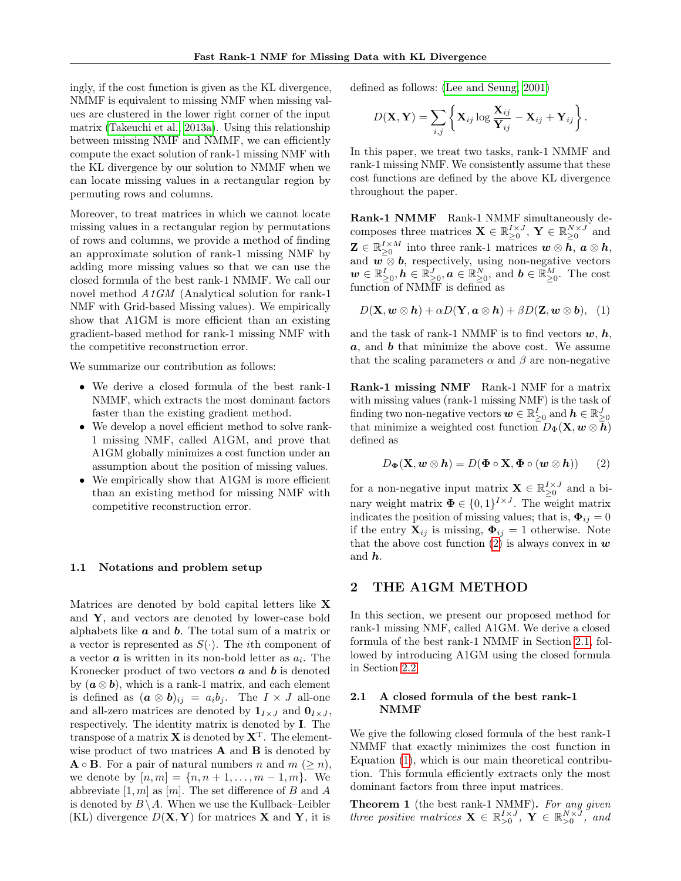ingly, if the cost function is given as the KL divergence, NMMF is equivalent to missing NMF when missing values are clustered in the lower right corner of the input matrix [\(Takeuchi et al., 2013a\)](#page-9-9). Using this relationship between missing NMF and NMMF, we can efficiently compute the exact solution of rank-1 missing NMF with the KL divergence by our solution to NMMF when we can locate missing values in a rectangular region by permuting rows and columns.

Moreover, to treat matrices in which we cannot locate missing values in a rectangular region by permutations of rows and columns, we provide a method of finding an approximate solution of rank-1 missing NMF by adding more missing values so that we can use the closed formula of the best rank-1 NMMF. We call our novel method A1GM (Analytical solution for rank-1 NMF with Grid-based Missing values). We empirically show that A1GM is more efficient than an existing gradient-based method for rank-1 missing NMF with the competitive reconstruction error.

We summarize our contribution as follows:

- We derive a closed formula of the best rank-1 NMMF, which extracts the most dominant factors faster than the existing gradient method.
- We develop a novel efficient method to solve rank-1 missing NMF, called A1GM, and prove that A1GM globally minimizes a cost function under an assumption about the position of missing values.
- We empirically show that A1GM is more efficient than an existing method for missing NMF with competitive reconstruction error.

#### 1.1 Notations and problem setup

Matrices are denoted by bold capital letters like  $X$ and  $Y$ , and vectors are denoted by lower-case bold alphabets like  $\boldsymbol{a}$  and  $\boldsymbol{b}$ . The total sum of a matrix or a vector is represented as  $S(\cdot)$ . The *i*th component of a vector  $\boldsymbol{a}$  is written in its non-bold letter as  $a_i$ . The Kronecker product of two vectors  $\boldsymbol{a}$  and  $\boldsymbol{b}$  is denoted by  $(a \otimes b)$ , which is a rank-1 matrix, and each element is defined as  $(\mathbf{a} \otimes \mathbf{b})_{ij} = a_i b_j$ . The  $I \times J$  all-one and all-zero matrices are denoted by  $\mathbf{1}_{I\times J}$  and  $\mathbf{0}_{I\times J}$ , respectively. The identity matrix is denoted by I. The transpose of a matrix **X** is denoted by  $X<sup>T</sup>$ . The elementwise product of two matrices  $A$  and  $B$  is denoted by  $\mathbf{A} \circ \mathbf{B}$ . For a pair of natural numbers n and  $m \ (\geq n)$ , we denote by  $[n, m] = \{n, n+1, \ldots, m-1, m\}$ . We abbreviate  $[1, m]$  as  $[m]$ . The set difference of B and A is denoted by  $B \setminus A$ . When we use the Kullback–Leibler (KL) divergence  $D(\mathbf{X}, \mathbf{Y})$  for matrices **X** and **Y**, it is defined as follows: [\(Lee and Seung, 2001\)](#page-9-12)

$$
D(\mathbf{X}, \mathbf{Y}) = \sum_{i,j} \left\{ \mathbf{X}_{ij} \log \frac{\mathbf{X}_{ij}}{\mathbf{Y}_{ij}} - \mathbf{X}_{ij} + \mathbf{Y}_{ij} \right\}.
$$

In this paper, we treat two tasks, rank-1 NMMF and rank-1 missing NMF. We consistently assume that these cost functions are defined by the above KL divergence throughout the paper.

Rank-1 NMMF Rank-1 NMMF simultaneously decomposes three matrices  $\mathbf{X} \in \mathbb{R}_{\geq 0}^{I \times J}$ ,  $\mathbf{Y} \in \mathbb{R}_{\geq 0}^{N \times J}$  and  $\mathbf{Z} \in \mathbb{R}_{\geq 0}^{I \times M}$  into three rank-1 matrices  $\mathbf{w} \otimes \mathbf{h}$ ,  $\mathbf{a} \otimes \mathbf{h}$ , and  $\mathbf{w} \otimes \mathbf{b}$ , respectively, using non-negative vectors  $\boldsymbol{w} \in \mathbb{R}_{\geq 0}^I, \boldsymbol{h} \in \mathbb{R}_{\geq 0}^J, \boldsymbol{a} \in \mathbb{R}_{\geq 0}^N, \text{ and } \boldsymbol{b} \in \mathbb{R}_{\geq 0}^M.$  The cost function of NMMF is defined as

<span id="page-1-2"></span>
$$
D(\mathbf{X}, \mathbf{w} \otimes \mathbf{h}) + \alpha D(\mathbf{Y}, \mathbf{a} \otimes \mathbf{h}) + \beta D(\mathbf{Z}, \mathbf{w} \otimes \mathbf{b}), \quad (1)
$$

and the task of rank-1 NMMF is to find vectors  $w, h$ ,  $a$ , and  $b$  that minimize the above cost. We assume that the scaling parameters  $\alpha$  and  $\beta$  are non-negative

Rank-1 missing NMF Rank-1 NMF for a matrix with missing values (rank-1 missing NMF) is the task of finding two non-negative vectors  $\boldsymbol{w}\in\mathbb{R}_{\geq 0}^I$  and  $\boldsymbol{h}\in\mathbb{R}_{\geq 0}^J$ that minimize a weighted cost function  $D_{\Phi}(\mathbf{X}, \mathbf{w} \otimes \overline{\mathbf{h}})$ defined as

<span id="page-1-0"></span>
$$
D_{\mathbf{\Phi}}(\mathbf{X}, \mathbf{w} \otimes \mathbf{h}) = D(\mathbf{\Phi} \circ \mathbf{X}, \mathbf{\Phi} \circ (\mathbf{w} \otimes \mathbf{h})) \qquad (2)
$$

for a non-negative input matrix  $\mathbf{X} \in \mathbb{R}_{\geq 0}^{I \times J}$  and a binary weight matrix  $\mathbf{\Phi} \in \{0,1\}^{I \times J}$ . The weight matrix indicates the position of missing values; that is,  $\mathbf{\Phi}_{ij} = 0$ if the entry  $\mathbf{X}_{ij}$  is missing,  $\mathbf{\Phi}_{ij} = 1$  otherwise. Note that the above cost function [\(2\)](#page-1-0) is always convex in  $w$ and  $h$ .

## 2 THE A1GM METHOD

In this section, we present our proposed method for rank-1 missing NMF, called A1GM. We derive a closed formula of the best rank-1 NMMF in Section [2.1,](#page-1-1) followed by introducing A1GM using the closed formula in Section [2.2.](#page-4-0)

#### <span id="page-1-1"></span>2.1 A closed formula of the best rank-1 NMMF

We give the following closed formula of the best rank-1 NMMF that exactly minimizes the cost function in Equation [\(1\)](#page-1-2), which is our main theoretical contribution. This formula efficiently extracts only the most dominant factors from three input matrices.

<span id="page-1-3"></span>**Theorem 1** (the best rank-1 NMMF). For any given three positive matrices  $\mathbf{X} \in \mathbb{R}_{>0}^{I \times J}$ ,  $\mathbf{Y} \in \mathbb{R}_{>0}^{N \times J}$ , and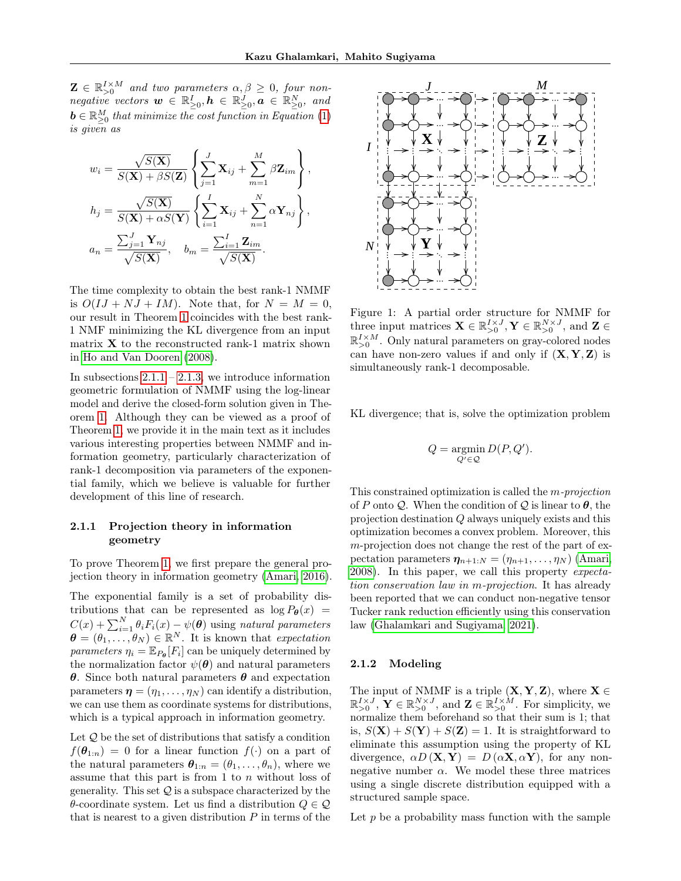$\mathbf{Z} \in \mathbb{R}_{>0}^{I \times M}$  and two parameters  $\alpha, \beta \geq 0$ , four non- $\textit{negative vectors } \boldsymbol{w} \in \mathbb{R}_{\geq 0}^I, \boldsymbol{h} \in \mathbb{R}_{\geq 0}^J, \boldsymbol{a} \in \mathbb{R}_{\geq 0}^N, \textit{ and}$  $\boldsymbol{b} \in \mathbb{R}_{\geq 0}^M$  that minimize the cost function in Equation [\(1\)](#page-1-2) is given as

$$
w_i = \frac{\sqrt{S(\mathbf{X})}}{S(\mathbf{X}) + \beta S(\mathbf{Z})} \left\{ \sum_{j=1}^J \mathbf{X}_{ij} + \sum_{m=1}^M \beta \mathbf{Z}_{im} \right\},
$$
  
\n
$$
h_j = \frac{\sqrt{S(\mathbf{X})}}{S(\mathbf{X}) + \alpha S(\mathbf{Y})} \left\{ \sum_{i=1}^I \mathbf{X}_{ij} + \sum_{n=1}^N \alpha \mathbf{Y}_{nj} \right\},
$$
  
\n
$$
a_n = \frac{\sum_{j=1}^J \mathbf{Y}_{nj}}{\sqrt{S(\mathbf{X})}}, \quad b_m = \frac{\sum_{i=1}^I \mathbf{Z}_{im}}{\sqrt{S(\mathbf{X})}}.
$$

The time complexity to obtain the best rank-1 NMMF is  $O(IJ + NJ + IM)$ . Note that, for  $N = M = 0$ , our result in Theorem [1](#page-1-3) coincides with the best rank-1 NMF minimizing the KL divergence from an input matrix  $X$  to the reconstructed rank-1 matrix shown in [Ho and Van Dooren](#page-8-5) [\(2008\)](#page-8-5).

In subsections  $2.1.1 - 2.1.3$ , we introduce information geometric formulation of NMMF using the log-linear model and derive the closed-form solution given in Theorem [1.](#page-1-3) Although they can be viewed as a proof of Theorem [1,](#page-1-3) we provide it in the main text as it includes various interesting properties between NMMF and information geometry, particularly characterization of rank-1 decomposition via parameters of the exponential family, which we believe is valuable for further development of this line of research.

## <span id="page-2-0"></span>2.1.1 Projection theory in information geometry

To prove Theorem [1,](#page-1-3) we first prepare the general projection theory in information geometry [\(Amari, 2016\)](#page-8-6).

The exponential family is a set of probability distributions that can be represented as  $\log P_{\theta}(x)$  =  $C(x) + \sum_{i=1}^{N} \theta_i F_i(x) - \psi(\boldsymbol{\theta})$  using natural parameters  $\boldsymbol{\theta} = (\theta_1, \ldots, \theta_N) \in \mathbb{R}^N$ . It is known that expectation parameters  $\eta_i = \mathbb{E}_{P_{\theta}}[F_i]$  can be uniquely determined by the normalization factor  $\psi(\boldsymbol{\theta})$  and natural parameters θ. Since both natural parameters θ and expectation parameters  $\boldsymbol{\eta} = (\eta_1, \dots, \eta_N)$  can identify a distribution, we can use them as coordinate systems for distributions, which is a typical approach in information geometry.

Let  $Q$  be the set of distributions that satisfy a condition  $f(\theta_{1:n}) = 0$  for a linear function  $f(\cdot)$  on a part of the natural parameters  $\boldsymbol{\theta}_{1:n} = (\theta_1, \ldots, \theta_n)$ , where we assume that this part is from  $1$  to  $n$  without loss of generality. This set  $Q$  is a subspace characterized by the  $\theta$ -coordinate system. Let us find a distribution  $Q \in \mathcal{Q}$ that is nearest to a given distribution  $P$  in terms of the



<span id="page-2-1"></span>Figure 1: A partial order structure for NMMF for three input matrices  $\mathbf{X} \in \mathbb{R}_{>0}^{I \times J}$ ,  $\mathbf{Y} \in \mathbb{R}_{>0}^{N \times J}$ , and  $\mathbf{Z} \in$  $\mathbb{R}_{>0}^{I \times M}$ . Only natural parameters on gray-colored nodes can have non-zero values if and only if  $(X, Y, Z)$  is simultaneously rank-1 decomposable.

KL divergence; that is, solve the optimization problem

$$
Q = \operatornamewithlimits{argmin}_{Q' \in \mathcal{Q}} D(P,Q').
$$

This constrained optimization is called the m-projection of P onto Q. When the condition of Q is linear to  $\theta$ , the projection destination Q always uniquely exists and this optimization becomes a convex problem. Moreover, this m-projection does not change the rest of the part of expectation parameters  $\eta_{n+1:N} = (\eta_{n+1}, \ldots, \eta_N)$  [\(Amari,](#page-8-7) [2008\)](#page-8-7). In this paper, we call this property expectation conservation law in m-projection. It has already been reported that we can conduct non-negative tensor Tucker rank reduction efficiently using this conservation law [\(Ghalamkari and Sugiyama, 2021\)](#page-8-8).

#### 2.1.2 Modeling

The input of NMMF is a triple  $(X, Y, Z)$ , where  $X \in$  $\mathbb{R}_{>0}^{I \times J}$ ,  $\mathbf{Y} \in \mathbb{R}_{>0}^{N \times J}$ , and  $\mathbf{Z} \in \mathbb{R}_{>0}^{I \times M}$ . For simplicity, we normalize them beforehand so that their sum is 1; that is,  $S(\mathbf{X}) + S(\mathbf{Y}) + S(\mathbf{Z}) = 1$ . It is straightforward to eliminate this assumption using the property of KL divergence,  $\alpha D(\mathbf{X}, \mathbf{Y}) = D(\alpha \mathbf{X}, \alpha \mathbf{Y})$ , for any nonnegative number  $\alpha$ . We model these three matrices using a single discrete distribution equipped with a structured sample space.

Let  $p$  be a probability mass function with the sample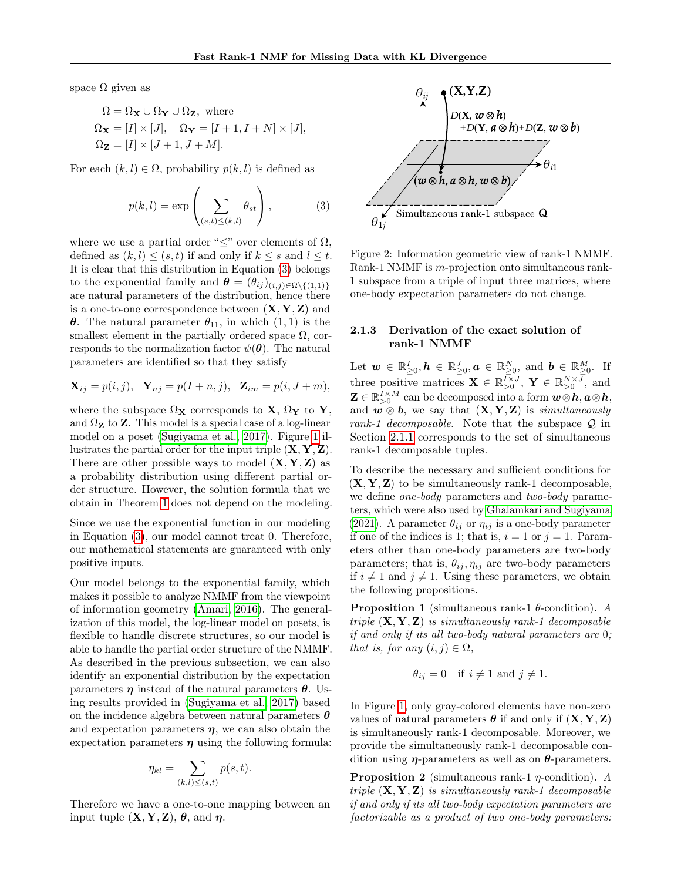space  $\Omega$  given as

$$
\Omega = \Omega_{\mathbf{X}} \cup \Omega_{\mathbf{Y}} \cup \Omega_{\mathbf{Z}}, \text{ where}
$$
  
\n
$$
\Omega_{\mathbf{X}} = [I] \times [J], \quad \Omega_{\mathbf{Y}} = [I + 1, I + N] \times [J],
$$
  
\n
$$
\Omega_{\mathbf{Z}} = [I] \times [J + 1, J + M].
$$

For each  $(k, l) \in \Omega$ , probability  $p(k, l)$  is defined as

$$
p(k,l) = \exp\left(\sum_{(s,t)\leq (k,l)} \theta_{st}\right),\tag{3}
$$

where we use a partial order " $\leq$ " over elements of  $\Omega$ , defined as  $(k, l) \leq (s, t)$  if and only if  $k \leq s$  and  $l \leq t$ . It is clear that this distribution in Equation [\(3\)](#page-3-1) belongs to the exponential family and  $\boldsymbol{\theta} = (\theta_{ij})_{(i,j)\in\Omega\setminus\{(1,1)\}}$ are natural parameters of the distribution, hence there is a one-to-one correspondence between  $(X, Y, Z)$  and **θ**. The natural parameter  $θ_{11}$ , in which  $(1, 1)$  is the smallest element in the partially ordered space  $\Omega$ , corresponds to the normalization factor  $\psi(\boldsymbol{\theta})$ . The natural parameters are identified so that they satisfy

$$
\mathbf{X}_{ij} = p(i,j), \quad \mathbf{Y}_{nj} = p(I+n,j), \quad \mathbf{Z}_{im} = p(i, J+m),
$$

where the subspace  $\Omega_{\mathbf{X}}$  corresponds to  $\mathbf{X}, \Omega_{\mathbf{Y}}$  to  $\mathbf{Y},$ and  $\Omega_{\mathbf{Z}}$  to  $\mathbf{Z}.$  This model is a special case of a log-linear model on a poset [\(Sugiyama et al., 2017\)](#page-9-13). Figure [1](#page-2-1) illustrates the partial order for the input triple  $(X, Y, Z)$ . There are other possible ways to model  $(X, Y, Z)$  as a probability distribution using different partial order structure. However, the solution formula that we obtain in Theorem [1](#page-1-3) does not depend on the modeling.

Since we use the exponential function in our modeling in Equation [\(3\)](#page-3-1), our model cannot treat 0. Therefore, our mathematical statements are guaranteed with only positive inputs.

Our model belongs to the exponential family, which makes it possible to analyze NMMF from the viewpoint of information geometry [\(Amari, 2016\)](#page-8-6). The generalization of this model, the log-linear model on posets, is flexible to handle discrete structures, so our model is able to handle the partial order structure of the NMMF. As described in the previous subsection, we can also identify an exponential distribution by the expectation parameters  $\eta$  instead of the natural parameters  $\theta$ . Using results provided in [\(Sugiyama et al., 2017\)](#page-9-13) based on the incidence algebra between natural parameters  $\boldsymbol{\theta}$ and expectation parameters  $\eta$ , we can also obtain the expectation parameters  $\eta$  using the following formula:

$$
\eta_{kl} = \sum_{(k,l) \le (s,t)} p(s,t).
$$

Therefore we have a one-to-one mapping between an input tuple  $(X, Y, Z)$ ,  $\theta$ , and  $\eta$ .



<span id="page-3-2"></span><span id="page-3-1"></span>Figure 2: Information geometric view of rank-1 NMMF. Rank-1 NMMF is m-projection onto simultaneous rank-1 subspace from a triple of input three matrices, where one-body expectation parameters do not change.

#### <span id="page-3-0"></span>2.1.3 Derivation of the exact solution of rank-1 NMMF

Let  $\boldsymbol{w} \in \mathbb{R}_{\geq 0}^I, \boldsymbol{h} \in \mathbb{R}_{\geq 0}^J, \boldsymbol{a} \in \mathbb{R}_{\geq 0}^N, \text{ and } \boldsymbol{b} \in \mathbb{R}_{\geq 0}^M.$  If three positive matrices  $\mathbf{X} \in \mathbb{R}_{>0}^{\bar{I} \times J}$ ,  $\mathbf{Y} \in \mathbb{R}_{>0}^{N \times \bar{J}}$ , and  $\mathbf{Z} \in \mathbb{R}_{>0}^{I \times M}$  can be decomposed into a form  $\boldsymbol{w}\otimes \boldsymbol{h}, \boldsymbol{a}\otimes \boldsymbol{h},$ and  $\mathbf{w} \otimes \mathbf{b}$ , we say that  $(\mathbf{X}, \mathbf{Y}, \mathbf{Z})$  is simultaneously rank-1 decomposable. Note that the subspace  $Q$  in Section [2.1.1](#page-2-0) corresponds to the set of simultaneous rank-1 decomposable tuples.

To describe the necessary and sufficient conditions for  $(X, Y, Z)$  to be simultaneously rank-1 decomposable, we define *one-body* parameters and *two-body* parameters, which were also used by [Ghalamkari and Sugiyama](#page-8-8) [\(2021\)](#page-8-8). A parameter  $\theta_{ij}$  or  $\eta_{ij}$  is a one-body parameter if one of the indices is 1; that is,  $i = 1$  or  $j = 1$ . Parameters other than one-body parameters are two-body parameters; that is,  $\theta_{ij}, \eta_{ij}$  are two-body parameters if  $i \neq 1$  and  $j \neq 1$ . Using these parameters, we obtain the following propositions.

**Proposition 1** (simultaneous rank-1  $\theta$ -condition). A triple  $(X, Y, Z)$  is simultaneously rank-1 decomposable if and only if its all two-body natural parameters are 0; that is, for any  $(i, j) \in \Omega$ ,

$$
\theta_{ij} = 0
$$
 if  $i \neq 1$  and  $j \neq 1$ .

In Figure [1,](#page-2-1) only gray-colored elements have non-zero values of natural parameters  $\theta$  if and only if  $(X, Y, Z)$ is simultaneously rank-1 decomposable. Moreover, we provide the simultaneously rank-1 decomposable condition using  $\eta$ -parameters as well as on  $\theta$ -parameters.

**Proposition 2** (simultaneous rank-1  $\eta$ -condition). A triple  $(X, Y, Z)$  is simultaneously rank-1 decomposable if and only if its all two-body expectation parameters are factorizable as a product of two one-body parameters: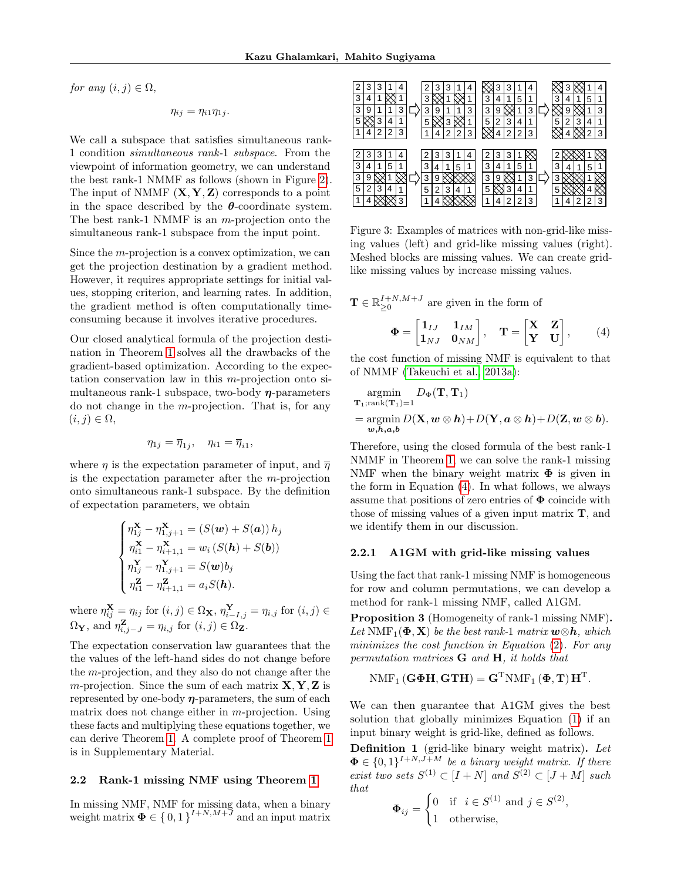$\mathbf T$ 

for any  $(i, j) \in \Omega$ ,

$$
\eta_{ij}=\eta_{i1}\eta_{1j}.
$$

We call a subspace that satisfies simultaneous rank-1 condition simultaneous rank-1 subspace. From the viewpoint of information geometry, we can understand the best rank-1 NMMF as follows (shown in Figure [2\)](#page-3-2). The input of NMMF  $(X, Y, Z)$  corresponds to a point in the space described by the  $\theta$ -coordinate system. The best rank-1 NMMF is an m-projection onto the simultaneous rank-1 subspace from the input point.

Since the m-projection is a convex optimization, we can get the projection destination by a gradient method. However, it requires appropriate settings for initial values, stopping criterion, and learning rates. In addition, the gradient method is often computationally timeconsuming because it involves iterative procedures.

Our closed analytical formula of the projection destination in Theorem [1](#page-1-3) solves all the drawbacks of the gradient-based optimization. According to the expectation conservation law in this  $m$ -projection onto simultaneous rank-1 subspace, two-body  $\eta$ -parameters do not change in the  $m$ -projection. That is, for any  $(i, j) \in \Omega$ ,

$$
\eta_{1j} = \overline{\eta}_{1j}, \quad \eta_{i1} = \overline{\eta}_{i1},
$$

where  $\eta$  is the expectation parameter of input, and  $\overline{\eta}$ is the expectation parameter after the m-projection onto simultaneous rank-1 subspace. By the definition of expectation parameters, we obtain

$$
\begin{cases}\n\eta_{1j}^{\mathbf{X}} - \eta_{1,j+1}^{\mathbf{X}} = (S(\mathbf{w}) + S(\mathbf{a})) h_j \\
\eta_{i1}^{\mathbf{X}} - \eta_{i+1,1}^{\mathbf{X}} = w_i (S(\mathbf{h}) + S(\mathbf{b})) \\
\eta_{1j}^{\mathbf{Y}} - \eta_{1,j+1}^{\mathbf{Y}} = S(\mathbf{w}) b_j \\
\eta_{i1}^{\mathbf{Z}} - \eta_{i+1,1}^{\mathbf{Z}} = a_i S(\mathbf{h}).\n\end{cases}
$$

where  $\eta_{ij}^{\mathbf{X}} = \eta_{ij}$  for  $(i, j) \in \Omega_{\mathbf{X}}, \eta_{i-I,j}^{\mathbf{Y}} = \eta_{i,j}$  for  $(i, j) \in$  $\Omega_{\mathbf{Y}},$  and  $\eta_{i,j-J}^{\mathbf{Z}} = \eta_{i,j}$  for  $(i,j) \in \Omega_{\mathbf{Z}}$ .

The expectation conservation law guarantees that the the values of the left-hand sides do not change before the m-projection, and they also do not change after the m-projection. Since the sum of each matrix  $X, Y, Z$  is represented by one-body  $\eta$ -parameters, the sum of each matrix does not change either in m-projection. Using these facts and multiplying these equations together, we can derive Theorem [1.](#page-1-3) A complete proof of Theorem [1](#page-1-3) is in Supplementary Material.

#### <span id="page-4-0"></span>2.2 Rank-1 missing NMF using Theorem [1](#page-1-3)

In missing NMF, NMF for missing data, when a binary weight matrix  $\mathbf{\Phi} \in \{0,1\}^{I+N,M+\bar{J}}$  and an input matrix

|   | 3 | 3 |   |   |   | 3 | 3 |   | 4 |   | 3 | 3 |   | 4 |    |   |   |   | 4 |
|---|---|---|---|---|---|---|---|---|---|---|---|---|---|---|----|---|---|---|---|
| 3 | 4 |   |   |   | 3 |   |   |   |   | 3 | 4 |   | 5 | 1 | 3  | 4 |   | 5 | 1 |
| 3 | 9 |   |   | 3 | 3 | 9 |   |   | 3 | 3 | 9 |   |   | 3 | ×. | 9 |   |   | 3 |
| 5 |   | 3 | 4 | 1 | 5 |   | 3 |   |   | 5 | 2 | 3 | 4 | 1 | 5  | 2 | 3 | 4 |   |
|   | 4 | 2 | 2 | 3 |   | 4 | 2 | 2 | 3 |   | 4 | 2 | 2 | 3 |    |   |   | 2 | 3 |
|   |   |   |   |   |   |   |   |   |   |   |   |   |   |   |    |   |   |   |   |
|   | 3 | З |   |   |   | 3 |   |   |   | ာ | 3 | 3 |   |   |    |   |   |   |   |
| 3 | 4 |   | 5 |   | 3 | 4 |   | 5 |   | 3 |   |   | 5 | 1 | 3  |   |   | 5 |   |
| 3 | 9 |   |   |   | 3 | 9 |   |   |   | 3 | 9 |   |   | 3 | 3  |   |   |   |   |
| 5 | 2 | 3 | 4 | 1 | 5 | 2 | 3 | 4 |   | 5 |   | 3 | 4 | 1 | 5  |   |   |   |   |
|   |   |   |   | 3 |   |   |   |   |   |   | 4 | 2 | 2 | 3 |    |   | ◠ | っ | 3 |

<span id="page-4-2"></span>Figure 3: Examples of matrices with non-grid-like missing values (left) and grid-like missing values (right). Meshed blocks are missing values. We can create gridlike missing values by increase missing values.

<span id="page-4-1"></span>
$$
\in \mathbb{R}_{\geq 0}^{I+N,M+J} \text{ are given in the form of}
$$

$$
\Phi = \begin{bmatrix} \mathbf{1}_{IJ} & \mathbf{1}_{IM} \\ \mathbf{1}_{NJ} & \mathbf{0}_{NM} \end{bmatrix}, \quad \mathbf{T} = \begin{bmatrix} \mathbf{X} & \mathbf{Z} \\ \mathbf{Y} & \mathbf{U} \end{bmatrix}, \qquad (4)
$$

the cost function of missing NMF is equivalent to that of NMMF [\(Takeuchi et al., 2013a\)](#page-9-9):

$$
\operatorname*{argmin}_{\mathbf{T}_1; \text{rank}(\mathbf{T}_1) = 1} D_{\Phi}(\mathbf{T}, \mathbf{T}_1) \n= \operatorname*{argmin}_{\mathbf{w}, \mathbf{h}, \mathbf{a}, \mathbf{b}} D(\mathbf{X}, \mathbf{w} \otimes \mathbf{h}) + D(\mathbf{Y}, \mathbf{a} \otimes \mathbf{h}) + D(\mathbf{Z}, \mathbf{w} \otimes \mathbf{b}).
$$

Therefore, using the closed formula of the best rank-1 NMMF in Theorem [1,](#page-1-3) we can solve the rank-1 missing NMF when the binary weight matrix  $\Phi$  is given in the form in Equation [\(4\)](#page-4-1). In what follows, we always assume that positions of zero entries of  $\Phi$  coincide with those of missing values of a given input matrix  $\mathbf{T}$ , and we identify them in our discussion.

#### 2.2.1 A1GM with grid-like missing values

Using the fact that rank-1 missing NMF is homogeneous for row and column permutations, we can develop a method for rank-1 missing NMF, called A1GM.

Proposition 3 (Homogeneity of rank-1 missing NMF). Let NMF<sub>1</sub>( $\Phi$ , **X**) be the best rank-1 matrix  $\mathbf{w} \otimes \mathbf{h}$ , which minimizes the cost function in Equation [\(2\)](#page-1-0). For any permutation matrices G and H, it holds that

$$
\mathrm{NMF}_1\left(\mathbf{G\Phi H},\mathbf{GTH}\right)=\mathbf{G}^{\mathrm{T}}\mathrm{NMF}_1\left(\mathbf{\Phi},\mathbf{T}\right)\mathbf{H}^{\mathrm{T}}.
$$

We can then guarantee that A1GM gives the best solution that globally minimizes Equation [\(1\)](#page-1-2) if an input binary weight is grid-like, defined as follows.

Definition 1 (grid-like binary weight matrix). Let  $\mathbf{\Phi} \in \{0,1\}^{I+N,J+M}$  be a binary weight matrix. If there exist two sets  $S^{(1)} \subset [I+N]$  and  $S^{(2)} \subset [J+M]$  such that

$$
\Phi_{ij} = \begin{cases} 0 & \text{if } i \in S^{(1)} \text{ and } j \in S^{(2)} \\ 1 & \text{otherwise,} \end{cases}
$$

,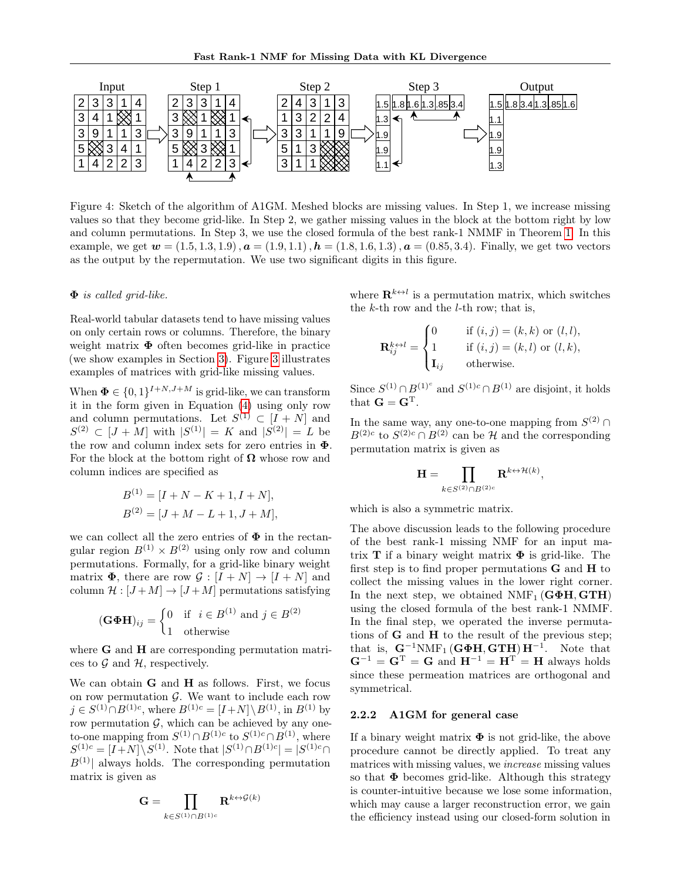

<span id="page-5-0"></span>Figure 4: Sketch of the algorithm of A1GM. Meshed blocks are missing values. In Step 1, we increase missing values so that they become grid-like. In Step 2, we gather missing values in the block at the bottom right by low and column permutations. In Step 3, we use the closed formula of the best rank-1 NMMF in Theorem [1.](#page-1-3) In this example, we get  $w = (1.5, 1.3, 1.9), a = (1.9, 1.1), h = (1.8, 1.6, 1.3), a = (0.85, 3.4).$  Finally, we get two vectors as the output by the repermutation. We use two significant digits in this figure.

#### $\Phi$  is called grid-like.

Real-world tabular datasets tend to have missing values on only certain rows or columns. Therefore, the binary weight matrix  $\Phi$  often becomes grid-like in practice (we show examples in Section [3\)](#page-6-0). Figure [3](#page-4-2) illustrates examples of matrices with grid-like missing values.

When  $\mathbf{\Phi} \in \{0,1\}^{I+N,J+M}$  is grid-like, we can transform it in the form given in Equation [\(4\)](#page-4-1) using only row and column permutations. Let  $S^{(1)} \subset [I + N]$  and  $S^{(2)} \subset [J+M]$  with  $|S^{(1)}| = K$  and  $|S^{(2)}| = L$  be the row and column index sets for zero entries in  $\Phi$ . For the block at the bottom right of  $\Omega$  whose row and column indices are specified as

$$
B^{(1)} = [I + N - K + 1, I + N],
$$
  

$$
B^{(2)} = [J + M - L + 1, J + M],
$$

we can collect all the zero entries of  $\Phi$  in the rectangular region  $B^{(1)} \times B^{(2)}$  using only row and column permutations. Formally, for a grid-like binary weight matrix  $\Phi$ , there are row  $\mathcal{G} : [I + N] \to [I + N]$  and column  $\mathcal{H}: [J+M] \to [J+M]$  permutations satisfying

$$
(\mathbf{G}\boldsymbol{\Phi}\mathbf{H})_{ij} = \begin{cases} 0 & \text{if } i \in B^{(1)} \text{ and } j \in B^{(2)} \\ 1 & \text{otherwise} \end{cases}
$$

where **G** and **H** are corresponding permutation matrices to  $\mathcal G$  and  $\mathcal H$ , respectively.

We can obtain **G** and **H** as follows. First, we focus on row permutation  $\mathcal{G}$ . We want to include each row  $j \in S^{(1)} \cap B^{(1)c}$ , where  $B^{(1)c} = [I + N] \setminus B^{(1)}$ , in  $B^{(1)}$  by row permutation  $G$ , which can be achieved by any oneto-one mapping from  $S^{(1)} \cap B^{(1)c}$  to  $S^{(1)c} \cap B^{(1)}$ , where  $S^{(1)c} = [I + N] \setminus S^{(1)}$ . Note that  $|S^{(1)} \cap B^{(1)c}| = |S^{(1)c} \cap B^{(1)}|$  $B^{(1)}$  always holds. The corresponding permutation matrix is given as

$$
\displaystyle\mathbf{G}=\prod_{k\in S^{(1)}\cap B^{(1)c}}\mathbf{R}^{k\leftrightarrow\mathcal{G}(k)}
$$

where  $\mathbf{R}^{k \leftrightarrow l}$  is a permutation matrix, which switches the  $k$ -th row and the  $l$ -th row; that is,

$$
\mathbf{R}_{ij}^{k \leftrightarrow l} = \begin{cases} 0 & \text{if } (i,j) = (k,k) \text{ or } (l,l), \\ 1 & \text{if } (i,j) = (k,l) \text{ or } (l,k), \\ \mathbf{I}_{ij} & \text{otherwise.} \end{cases}
$$

Since  $S^{(1)} \cap B^{(1)^c}$  and  $S^{(1)c} \cap B^{(1)}$  are disjoint, it holds that  $\mathbf{G} = \mathbf{G}^{\mathrm{T}}$ .

In the same way, any one-to-one mapping from  $S^{(2)} \cap$  $B^{(2)c}$  to  $S^{(2)c} \cap B^{(2)}$  can be H and the corresponding permutation matrix is given as

$$
\mathbf{H} = \prod_{k \in S^{(2)} \cap B^{(2)c}} \mathbf{R}^{k \leftrightarrow \mathcal{H}(k)},
$$

which is also a symmetric matrix.

The above discussion leads to the following procedure of the best rank-1 missing NMF for an input matrix **T** if a binary weight matrix  $\Phi$  is grid-like. The first step is to find proper permutations  $G$  and  $H$  to collect the missing values in the lower right corner. In the next step, we obtained  $NMF_1(G\Phi H, GTH)$ using the closed formula of the best rank-1 NMMF. In the final step, we operated the inverse permutations of G and H to the result of the previous step; that is,  $\mathbf{G}^{-1}N\mathrm{MF}_1(\mathbf{G}\mathbf{\Phi}\mathbf{H},\mathbf{G}\mathbf{T}\mathbf{H})\mathbf{H}^{-1}$ . Note that  $G^{-1} = G^{T} = G$  and  $H^{-1} = H^{T} = H$  always holds since these permeation matrices are orthogonal and symmetrical.

#### 2.2.2 A1GM for general case

If a binary weight matrix  $\Phi$  is not grid-like, the above procedure cannot be directly applied. To treat any matrices with missing values, we increase missing values so that  $\Phi$  becomes grid-like. Although this strategy is counter-intuitive because we lose some information, which may cause a larger reconstruction error, we gain the efficiency instead using our closed-form solution in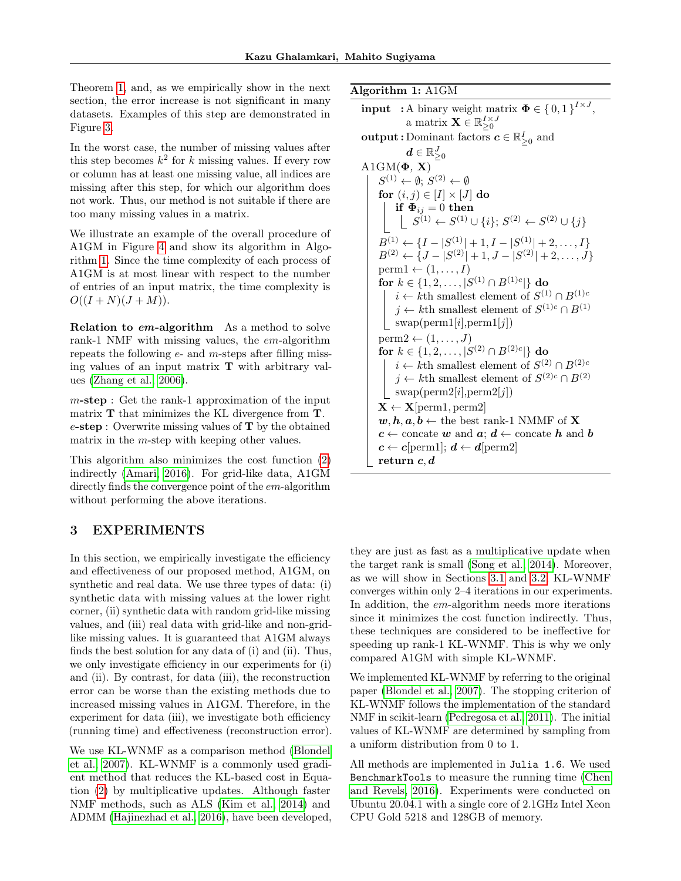Theorem [1,](#page-1-3) and, as we empirically show in the next section, the error increase is not significant in many datasets. Examples of this step are demonstrated in Figure [3.](#page-4-2)

In the worst case, the number of missing values after this step becomes  $k^2$  for k missing values. If every row or column has at least one missing value, all indices are missing after this step, for which our algorithm does not work. Thus, our method is not suitable if there are too many missing values in a matrix.

We illustrate an example of the overall procedure of A1GM in Figure [4](#page-5-0) and show its algorithm in Algorithm [1.](#page-6-1) Since the time complexity of each process of A1GM is at most linear with respect to the number of entries of an input matrix, the time complexity is  $O((I+N)(J+M)).$ 

Relation to em-algorithm As a method to solve rank-1 NMF with missing values, the em-algorithm repeats the following  $e$ - and  $m$ -steps after filling missing values of an input matrix  $\mathbf T$  with arbitrary values [\(Zhang et al., 2006\)](#page-9-14).

 $m$ -step : Get the rank-1 approximation of the input matrix **T** that minimizes the KL divergence from **T**.  $e$ -step : Overwrite missing values of  $T$  by the obtained matrix in the m-step with keeping other values.

This algorithm also minimizes the cost function [\(2\)](#page-1-0) indirectly [\(Amari, 2016\)](#page-8-6). For grid-like data, A1GM directly finds the convergence point of the em-algorithm without performing the above iterations.

## <span id="page-6-1"></span><span id="page-6-0"></span>3 EXPERIMENTS

In this section, we empirically investigate the efficiency and effectiveness of our proposed method, A1GM, on synthetic and real data. We use three types of data: (i) synthetic data with missing values at the lower right corner, (ii) synthetic data with random grid-like missing values, and (iii) real data with grid-like and non-gridlike missing values. It is guaranteed that A1GM always finds the best solution for any data of (i) and (ii). Thus, we only investigate efficiency in our experiments for (i) and (ii). By contrast, for data (iii), the reconstruction error can be worse than the existing methods due to increased missing values in A1GM. Therefore, in the experiment for data (iii), we investigate both efficiency (running time) and effectiveness (reconstruction error).

We use KL-WNMF as a comparison method [\(Blondel](#page-8-9) [et al., 2007\)](#page-8-9). KL-WNMF is a commonly used gradient method that reduces the KL-based cost in Equation [\(2\)](#page-1-0) by multiplicative updates. Although faster NMF methods, such as ALS [\(Kim et al., 2014\)](#page-9-15) and ADMM [\(Hajinezhad et al., 2016\)](#page-8-10), have been developed, Algorithm 1: A1GM

```
input : A binary weight matrix \mathbf{\Phi} \in \{0,1\}^{I \times J},
               a matrix \mathbf{X} \in \mathbb{R}_{\geq 0}^{I \times J}\textbf{output}: \text{Domain} \text{ factors } \textbf{\textit{c}} \in \mathbb{R}_{\geq 0}^{I} \text{ and}\boldsymbol{d} \in \mathbb{R}^J_{\geq 0}A1GM(\Phi, X)S^{(1)} \leftarrow \emptyset; S^{(2)} \leftarrow \emptysetfor (i, j) \in [I] \times [J] do
            if \boldsymbol{\Phi}_{ij}=0 then
                  S^{(1)} \leftarrow S^{(1)} \cup \{i\}; S^{(2)} \leftarrow S^{(2)} \cup \{j\}B^{(1)} \leftarrow \{I - |S^{(1)}| + 1, I - |S^{(1)}| + 2, \ldots, I\}B^{(2)} \leftarrow \{J - |S^{(2)}| + 1, J - |S^{(2)}| + 2, \ldots, J\}\text{perm1} \leftarrow (1, \ldots, I)for k \in \{1, 2, \ldots, |S^{(1)} \cap B^{(1)c}|\} do
            i \leftarrow kth smallest element of S^{(1)} \cap B^{(1)c}j \leftarrow kth smallest element of S^{(1)c} \cap B^{(1)}| swap(perm1[i],perm1[j])perm2 \leftarrow (1, \ldots, J)for k \in \{1, 2, \ldots, |S^{(2)} \cap B^{(2)c}|\} do
            i \leftarrow kth smallest element of S^{(2)} \cap B^{(2)c}j \leftarrow kth smallest element of S^{(2)c} \cap B^{(2)}\sim swap(perm2[i],perm2[j])
     \mathbf{X} \leftarrow \mathbf{X}[perm1, perm2]
     w, h, a, b \leftarrow the best rank-1 NMMF of X
     c \leftarrow concate w and a; d \leftarrow concate h and b
     c \leftarrow c[perm1]; d \leftarrow d[perm2]
     return c, d
```
they are just as fast as a multiplicative update when the target rank is small [\(Song et al., 2014\)](#page-9-16). Moreover, as we will show in Sections [3.1](#page-7-0) and [3.2,](#page-7-1) KL-WNMF converges within only 2–4 iterations in our experiments. In addition, the em-algorithm needs more iterations since it minimizes the cost function indirectly. Thus, these techniques are considered to be ineffective for speeding up rank-1 KL-WNMF. This is why we only compared A1GM with simple KL-WNMF.

We implemented KL-WNMF by referring to the original paper [\(Blondel et al., 2007\)](#page-8-9). The stopping criterion of KL-WNMF follows the implementation of the standard NMF in scikit-learn [\(Pedregosa et al., 2011\)](#page-9-17). The initial values of KL-WNMF are determined by sampling from a uniform distribution from 0 to 1.

All methods are implemented in Julia 1.6. We used BenchmarkTools to measure the running time [\(Chen](#page-8-11) [and Revels, 2016\)](#page-8-11). Experiments were conducted on Ubuntu 20.04.1 with a single core of 2.1GHz Intel Xeon CPU Gold 5218 and 128GB of memory.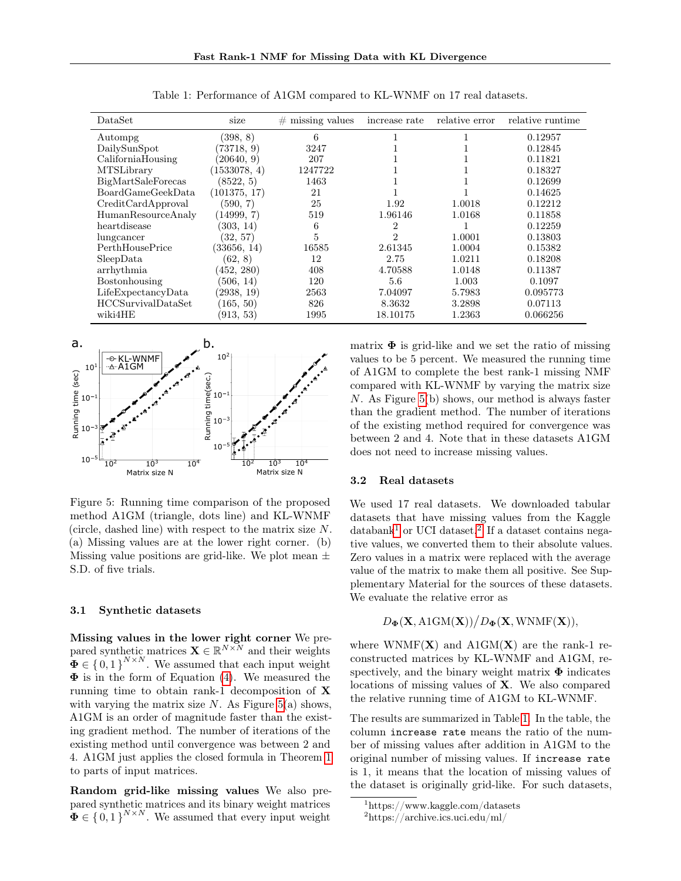| DataSet                   | size         | missing values<br># | increase rate | relative error | relative runtime |
|---------------------------|--------------|---------------------|---------------|----------------|------------------|
| Autompg                   | (398, 8)     | 6                   |               |                | 0.12957          |
| DailySunSpot              | (73718, 9)   | 3247                |               |                | 0.12845          |
| CaliforniaHousing         | (20640, 9)   | 207                 |               |                | 0.11821          |
| <b>MTSLibrary</b>         | (1533078, 4) | 1247722             |               |                | 0.18327          |
| <b>BigMartSaleForecas</b> | (8522, 5)    | 1463                |               |                | 0.12699          |
| <b>BoardGameGeekData</b>  | (101375, 17) | 21                  |               |                | 0.14625          |
| CreditCardApproval        | (590, 7)     | 25                  | 1.92          | 1.0018         | 0.12212          |
| <b>HumanResourceAnaly</b> | (14999, 7)   | 519                 | 1.96146       | 1.0168         | 0.11858          |
| heartdisease              | (303, 14)    | 6                   | 2             |                | 0.12259          |
| lungcancer                | (32, 57)     | 5                   | 2             | 1.0001         | 0.13803          |
| PerthHousePrice           | (33656, 14)  | 16585               | 2.61345       | 1.0004         | 0.15382          |
| SleepData                 | (62, 8)      | 12                  | 2.75          | 1.0211         | 0.18208          |
| arrhythmia                | (452, 280)   | 408                 | 4.70588       | 1.0148         | 0.11387          |
| Bostonhousing             | (506, 14)    | 120                 | 5.6           | 1.003          | 0.1097           |
| LifeExpectancy Data       | (2938, 19)   | 2563                | 7.04097       | 5.7983         | 0.095773         |
| <b>HCCSurvivalDataSet</b> | (165, 50)    | 826                 | 8.3632        | 3.2898         | 0.07113          |
| wiki4HE                   | (913, 53)    | 1995                | 18.10175      | 1.2363         | 0.066256         |

<span id="page-7-5"></span>Table 1: Performance of A1GM compared to KL-WNMF on 17 real datasets.



<span id="page-7-2"></span>Figure 5: Running time comparison of the proposed method A1GM (triangle, dots line) and KL-WNMF (circle, dashed line) with respect to the matrix size N. (a) Missing values are at the lower right corner. (b) Missing value positions are grid-like. We plot mean  $\pm$ S.D. of five trials.

#### <span id="page-7-0"></span>3.1 Synthetic datasets

Missing values in the lower right corner We prepared synthetic matrices  $\mathbf{X} \in \mathbb{R}^{N \times N}$  and their weights  $\mathbf{\Phi} \in \{0,1\}^{N \times N}$ . We assumed that each input weight  $\Phi$  is in the form of Equation [\(4\)](#page-4-1). We measured the running time to obtain rank-1 decomposition of X with varying the matrix size  $N$ . As Figure [5\(](#page-7-2)a) shows, A1GM is an order of magnitude faster than the existing gradient method. The number of iterations of the existing method until convergence was between 2 and 4. A1GM just applies the closed formula in Theorem [1](#page-1-3) to parts of input matrices.

Random grid-like missing values We also prepared synthetic matrices and its binary weight matrices  $\Phi \in \{0,1\}^{N \times N}$ . We assumed that every input weight matrix  $\Phi$  is grid-like and we set the ratio of missing values to be 5 percent. We measured the running time of A1GM to complete the best rank-1 missing NMF compared with KL-WNMF by varying the matrix size N. As Figure [5\(](#page-7-2)b) shows, our method is always faster than the gradient method. The number of iterations of the existing method required for convergence was between 2 and 4. Note that in these datasets A1GM does not need to increase missing values.

### <span id="page-7-1"></span>3.2 Real datasets

We used 17 real datasets. We downloaded tabular datasets that have missing values from the Kaggle databank<sup>[1](#page-7-3)</sup> or UCI dataset.<sup>[2](#page-7-4)</sup> If a dataset contains negative values, we converted them to their absolute values. Zero values in a matrix were replaced with the average value of the matrix to make them all positive. See Supplementary Material for the sources of these datasets. We evaluate the relative error as

## $D_{\mathbf{\Phi}}(\mathbf{X}, \text{A1GM}(\mathbf{X}))/D_{\mathbf{\Phi}}(\mathbf{X}, \text{WNMF}(\mathbf{X})),$

where WNMF( $X$ ) and A1GM( $X$ ) are the rank-1 reconstructed matrices by KL-WNMF and A1GM, respectively, and the binary weight matrix  $\Phi$  indicates locations of missing values of X. We also compared the relative running time of A1GM to KL-WNMF.

The results are summarized in Table [1.](#page-7-5) In the table, the column increase rate means the ratio of the number of missing values after addition in A1GM to the original number of missing values. If increase rate is 1, it means that the location of missing values of the dataset is originally grid-like. For such datasets,

<span id="page-7-3"></span> $\frac{1}{1}$ https://www.kaggle.com/datasets

<span id="page-7-4"></span><sup>2</sup>https://archive.ics.uci.edu/ml/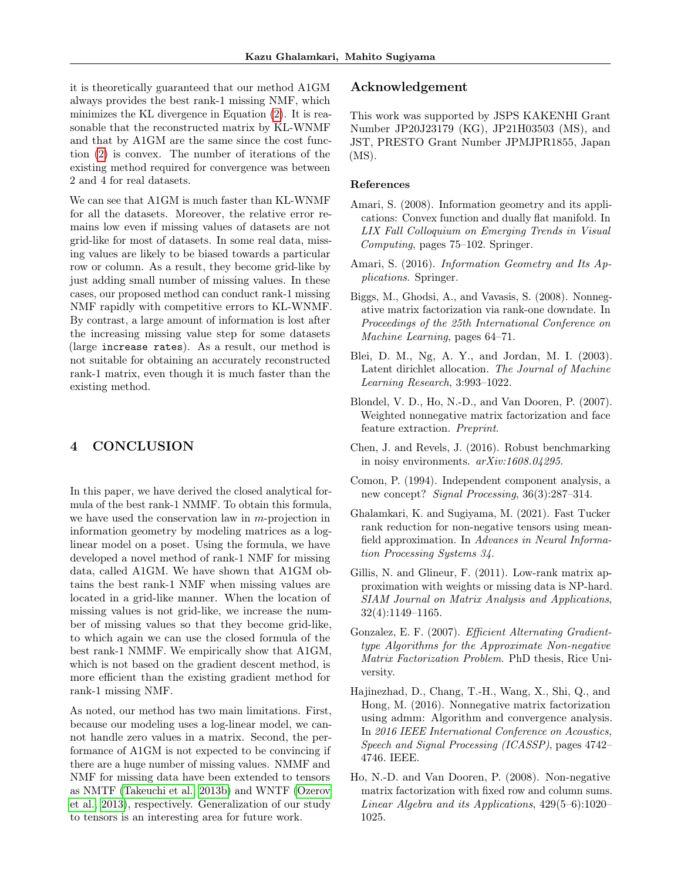it is theoretically guaranteed that our method A1GM always provides the best rank-1 missing NMF, which minimizes the KL divergence in Equation [\(2\)](#page-1-0). It is reasonable that the reconstructed matrix by KL-WNMF and that by A1GM are the same since the cost function [\(2\)](#page-1-0) is convex. The number of iterations of the existing method required for convergence was between 2 and 4 for real datasets.

We can see that A1GM is much faster than KL-WNMF for all the datasets. Moreover, the relative error remains low even if missing values of datasets are not grid-like for most of datasets. In some real data, missing values are likely to be biased towards a particular row or column. As a result, they become grid-like by just adding small number of missing values. In these cases, our proposed method can conduct rank-1 missing NMF rapidly with competitive errors to KL-WNMF. By contrast, a large amount of information is lost after the increasing missing value step for some datasets (large increase rates). As a result, our method is not suitable for obtaining an accurately reconstructed rank-1 matrix, even though it is much faster than the existing method.

## 4 CONCLUSION

In this paper, we have derived the closed analytical formula of the best rank-1 NMMF. To obtain this formula, we have used the conservation law in  $m$ -projection in information geometry by modeling matrices as a loglinear model on a poset. Using the formula, we have developed a novel method of rank-1 NMF for missing data, called A1GM. We have shown that A1GM obtains the best rank-1 NMF when missing values are located in a grid-like manner. When the location of missing values is not grid-like, we increase the number of missing values so that they become grid-like, to which again we can use the closed formula of the best rank-1 NMMF. We empirically show that A1GM, which is not based on the gradient descent method, is more efficient than the existing gradient method for rank-1 missing NMF.

As noted, our method has two main limitations. First, because our modeling uses a log-linear model, we cannot handle zero values in a matrix. Second, the performance of A1GM is not expected to be convincing if there are a huge number of missing values. NMMF and NMF for missing data have been extended to tensors as NMTF [\(Takeuchi et al., 2013b\)](#page-9-18) and WNTF [\(Ozerov](#page-9-19) [et al., 2013\)](#page-9-19), respectively. Generalization of our study to tensors is an interesting area for future work.

## Acknowledgement

This work was supported by JSPS KAKENHI Grant Number JP20J23179 (KG), JP21H03503 (MS), and JST, PRESTO Grant Number JPMJPR1855, Japan (MS).

#### References

- <span id="page-8-7"></span>Amari, S. (2008). Information geometry and its applications: Convex function and dually flat manifold. In LIX Fall Colloquium on Emerging Trends in Visual Computing, pages 75–102. Springer.
- <span id="page-8-6"></span>Amari, S. (2016). Information Geometry and Its Applications. Springer.
- <span id="page-8-3"></span>Biggs, M., Ghodsi, A., and Vavasis, S. (2008). Nonnegative matrix factorization via rank-one downdate. In Proceedings of the 25th International Conference on Machine Learning, pages 64–71.
- <span id="page-8-1"></span>Blei, D. M., Ng, A. Y., and Jordan, M. I. (2003). Latent dirichlet allocation. The Journal of Machine Learning Research, 3:993–1022.
- <span id="page-8-9"></span>Blondel, V. D., Ho, N.-D., and Van Dooren, P. (2007). Weighted nonnegative matrix factorization and face feature extraction. Preprint.
- <span id="page-8-11"></span>Chen, J. and Revels, J. (2016). Robust benchmarking in noisy environments. arXiv:1608.04295.
- <span id="page-8-0"></span>Comon, P. (1994). Independent component analysis, a new concept? Signal Processing, 36(3):287–314.
- <span id="page-8-8"></span>Ghalamkari, K. and Sugiyama, M. (2021). Fast Tucker rank reduction for non-negative tensors using meanfield approximation. In Advances in Neural Information Processing Systems 34.
- <span id="page-8-4"></span>Gillis, N. and Glineur, F. (2011). Low-rank matrix approximation with weights or missing data is NP-hard. SIAM Journal on Matrix Analysis and Applications, 32(4):1149–1165.
- <span id="page-8-2"></span>Gonzalez, E. F. (2007). Efficient Alternating Gradienttype Algorithms for the Approximate Non-negative Matrix Factorization Problem. PhD thesis, Rice University.
- <span id="page-8-10"></span>Hajinezhad, D., Chang, T.-H., Wang, X., Shi, Q., and Hong, M. (2016). Nonnegative matrix factorization using admm: Algorithm and convergence analysis. In 2016 IEEE International Conference on Acoustics, Speech and Signal Processing (ICASSP), pages 4742– 4746. IEEE.
- <span id="page-8-5"></span>Ho, N.-D. and Van Dooren, P. (2008). Non-negative matrix factorization with fixed row and column sums. Linear Algebra and its Applications, 429(5–6):1020– 1025.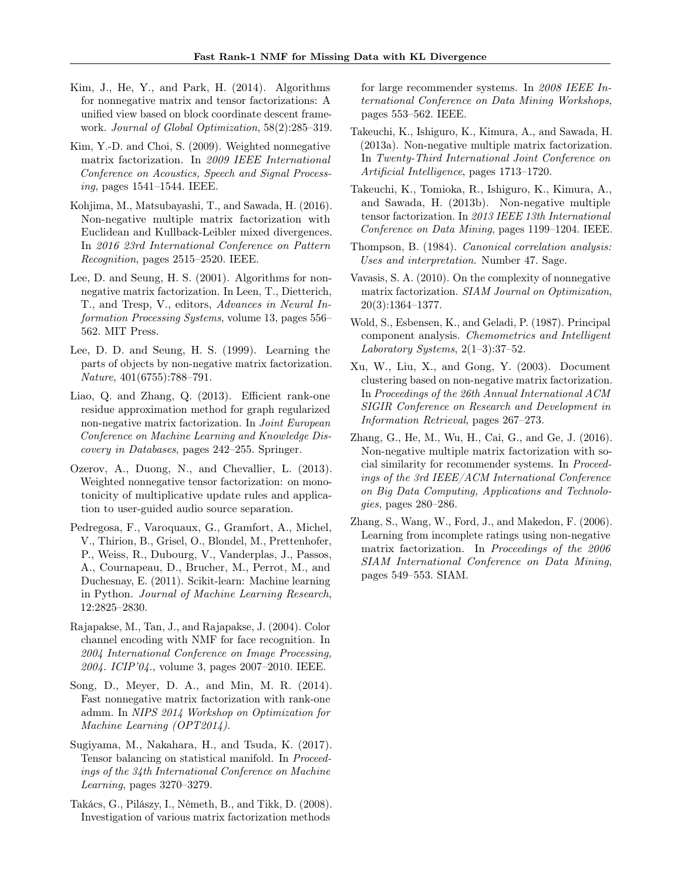- <span id="page-9-15"></span>Kim, J., He, Y., and Park, H. (2014). Algorithms for nonnegative matrix and tensor factorizations: A unified view based on block coordinate descent framework. Journal of Global Optimization, 58(2):285–319.
- <span id="page-9-8"></span>Kim, Y.-D. and Choi, S. (2009). Weighted nonnegative matrix factorization. In 2009 IEEE International Conference on Acoustics, Speech and Signal Processing, pages 1541–1544. IEEE.
- <span id="page-9-10"></span>Kohjima, M., Matsubayashi, T., and Sawada, H. (2016). Non-negative multiple matrix factorization with Euclidean and Kullback-Leibler mixed divergences. In 2016 23rd International Conference on Pattern Recognition, pages 2515–2520. IEEE.
- <span id="page-9-12"></span>Lee, D. and Seung, H. S. (2001). Algorithms for nonnegative matrix factorization. In Leen, T., Dietterich, T., and Tresp, V., editors, Advances in Neural Information Processing Systems, volume 13, pages 556– 562. MIT Press.
- <span id="page-9-2"></span>Lee, D. D. and Seung, H. S. (1999). Learning the parts of objects by non-negative matrix factorization. Nature, 401(6755):788–791.
- <span id="page-9-7"></span>Liao, Q. and Zhang, Q. (2013). Efficient rank-one residue approximation method for graph regularized non-negative matrix factorization. In Joint European Conference on Machine Learning and Knowledge Discovery in Databases, pages 242–255. Springer.
- <span id="page-9-19"></span>Ozerov, A., Duong, N., and Chevallier, L. (2013). Weighted nonnegative tensor factorization: on monotonicity of multiplicative update rules and application to user-guided audio source separation.
- <span id="page-9-17"></span>Pedregosa, F., Varoquaux, G., Gramfort, A., Michel, V., Thirion, B., Grisel, O., Blondel, M., Prettenhofer, P., Weiss, R., Dubourg, V., Vanderplas, J., Passos, A., Cournapeau, D., Brucher, M., Perrot, M., and Duchesnay, E. (2011). Scikit-learn: Machine learning in Python. Journal of Machine Learning Research, 12:2825–2830.
- <span id="page-9-3"></span>Rajapakse, M., Tan, J., and Rajapakse, J. (2004). Color channel encoding with NMF for face recognition. In 2004 International Conference on Image Processing, 2004. ICIP'04., volume 3, pages 2007–2010. IEEE.
- <span id="page-9-16"></span>Song, D., Meyer, D. A., and Min, M. R. (2014). Fast nonnegative matrix factorization with rank-one admm. In NIPS 2014 Workshop on Optimization for Machine Learning (OPT2014).
- <span id="page-9-13"></span>Sugiyama, M., Nakahara, H., and Tsuda, K. (2017). Tensor balancing on statistical manifold. In Proceedings of the 34th International Conference on Machine Learning, pages 3270–3279.
- <span id="page-9-4"></span>Takács, G., Pilászy, I., Németh, B., and Tikk, D. (2008). Investigation of various matrix factorization methods

for large recommender systems. In 2008 IEEE International Conference on Data Mining Workshops, pages 553–562. IEEE.

- <span id="page-9-9"></span>Takeuchi, K., Ishiguro, K., Kimura, A., and Sawada, H. (2013a). Non-negative multiple matrix factorization. In Twenty-Third International Joint Conference on Artificial Intelligence, pages 1713–1720.
- <span id="page-9-18"></span>Takeuchi, K., Tomioka, R., Ishiguro, K., Kimura, A., and Sawada, H. (2013b). Non-negative multiple tensor factorization. In 2013 IEEE 13th International Conference on Data Mining, pages 1199–1204. IEEE.
- <span id="page-9-0"></span>Thompson, B. (1984). Canonical correlation analysis: Uses and interpretation. Number 47. Sage.
- <span id="page-9-6"></span>Vavasis, S. A. (2010). On the complexity of nonnegative matrix factorization. SIAM Journal on Optimization, 20(3):1364–1377.
- <span id="page-9-1"></span>Wold, S., Esbensen, K., and Geladi, P. (1987). Principal component analysis. Chemometrics and Intelligent Laboratory Systems,  $2(1-3):37-52$ .
- <span id="page-9-5"></span>Xu, W., Liu, X., and Gong, Y. (2003). Document clustering based on non-negative matrix factorization. In Proceedings of the 26th Annual International ACM SIGIR Conference on Research and Development in Information Retrieval, pages 267–273.
- <span id="page-9-11"></span>Zhang, G., He, M., Wu, H., Cai, G., and Ge, J. (2016). Non-negative multiple matrix factorization with social similarity for recommender systems. In Proceedings of the 3rd IEEE/ACM International Conference on Big Data Computing, Applications and Technologies, pages 280–286.
- <span id="page-9-14"></span>Zhang, S., Wang, W., Ford, J., and Makedon, F. (2006). Learning from incomplete ratings using non-negative matrix factorization. In Proceedings of the 2006 SIAM International Conference on Data Mining, pages 549–553. SIAM.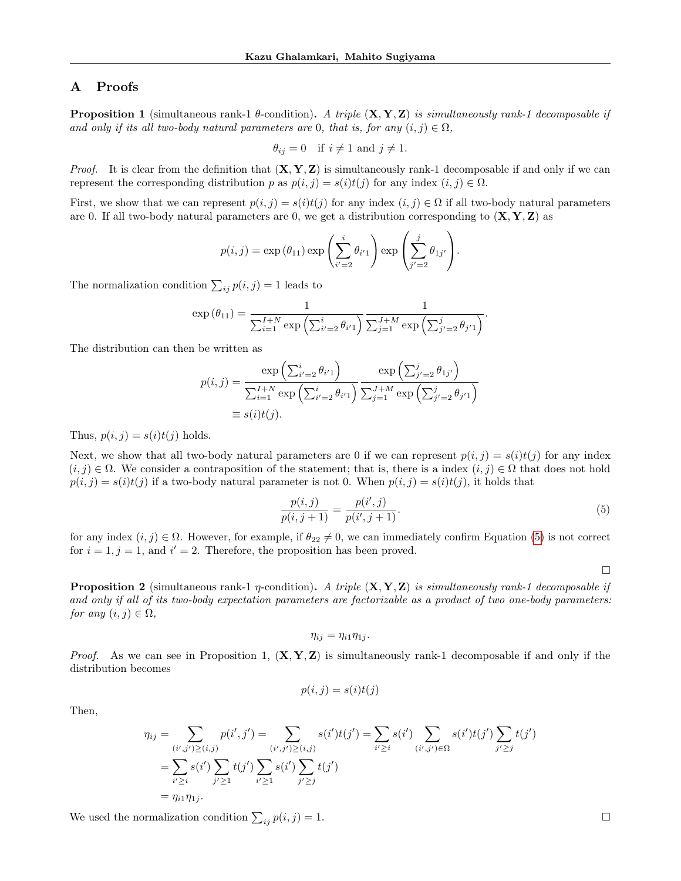## A Proofs

**Proposition 1** (simultaneous rank-1  $\theta$ -condition). A triple  $(X, Y, Z)$  is simultaneously rank-1 decomposable if and only if its all two-body natural parameters are 0, that is, for any  $(i, j) \in \Omega$ ,

$$
\theta_{ij} = 0
$$
 if  $i \neq 1$  and  $j \neq 1$ .

*Proof.* It is clear from the definition that  $(X, Y, Z)$  is simultaneously rank-1 decomposable if and only if we can represent the corresponding distribution p as  $p(i, j) = s(i)t(j)$  for any index  $(i, j) \in \Omega$ .

First, we show that we can represent  $p(i, j) = s(i)t(j)$  for any index  $(i, j) \in \Omega$  if all two-body natural parameters are 0. If all two-body natural parameters are 0, we get a distribution corresponding to  $(X, Y, Z)$  as

$$
p(i,j) = \exp(\theta_{11}) \exp\left(\sum_{i'=2}^i \theta_{i'1}\right) \exp\left(\sum_{j'=2}^j \theta_{1j'}\right).
$$

The normalization condition  $\sum_{ij} p(i, j) = 1$  leads to

$$
\exp(\theta_{11}) = \frac{1}{\sum_{i=1}^{I+N} \exp\left(\sum_{i'=2}^i \theta_{i'1}\right)} \frac{1}{\sum_{j=1}^{J+M} \exp\left(\sum_{j'=2}^j \theta_{j'1}\right)}.
$$

The distribution can then be written as

$$
p(i,j) = \frac{\exp\left(\sum_{i'=2}^i \theta_{i'1}\right)}{\sum_{i=1}^{I+N} \exp\left(\sum_{i'=2}^i \theta_{i'1}\right)} \frac{\exp\left(\sum_{j'=2}^j \theta_{1j'}\right)}{\sum_{j=1}^{J+M} \exp\left(\sum_{j'=2}^j \theta_{j'1}\right)}
$$
  

$$
\equiv s(i)t(j).
$$

Thus,  $p(i, j) = s(i)t(j)$  holds.

Next, we show that all two-body natural parameters are 0 if we can represent  $p(i, j) = s(i)t(j)$  for any index  $(i, j) \in \Omega$ . We consider a contraposition of the statement; that is, there is a index  $(i, j) \in \Omega$  that does not hold  $p(i, j) = s(i)t(j)$  if a two-body natural parameter is not 0. When  $p(i, j) = s(i)t(j)$ , it holds that

$$
\frac{p(i,j)}{p(i,j+1)} = \frac{p(i',j)}{p(i',j+1)}.\t(5)
$$

for any index  $(i, j) \in \Omega$ . However, for example, if  $\theta_{22} \neq 0$ , we can immediately confirm Equation [\(5\)](#page-10-0) is not correct for  $i = 1, j = 1$ , and  $i' = 2$ . Therefore, the proposition has been proved.

<span id="page-10-0"></span> $\Box$ 

**Proposition 2** (simultaneous rank-1  $\eta$ -condition). A triple  $(X, Y, Z)$  is simultaneously rank-1 decomposable if and only if all of its two-body expectation parameters are factorizable as a product of two one-body parameters: for any  $(i, j) \in \Omega$ ,

$$
\eta_{ij}=\eta_{i1}\eta_{1j}.
$$

*Proof.* As we can see in Proposition 1,  $(X, Y, Z)$  is simultaneously rank-1 decomposable if and only if the distribution becomes

$$
p(i, j) = s(i)t(j)
$$

Then,

$$
\eta_{ij} = \sum_{\substack{(i',j') \geq (i,j) \\ j' \geq 1}} p(i',j') = \sum_{\substack{(i',j') \geq (i,j) \\ j' \geq 1}} s(i')t(j') = \sum_{i' \geq i} s(i') \sum_{\substack{(i',j') \in \Omega \\ j' \geq j}} s(i') \sum_{\substack{(i',j') \in \Omega \\ j' \geq j}} t(j')
$$
\n
$$
= \sum_{i' \geq i} s(i') \sum_{j' \geq 1} t(j') \sum_{\substack{i' \geq 1 \\ j' \geq j}} t(j')
$$
\n
$$
= \eta_{i1} \eta_{1j}.
$$

We used the normalization condition  $\sum_{ij} p(i, j) = 1$ .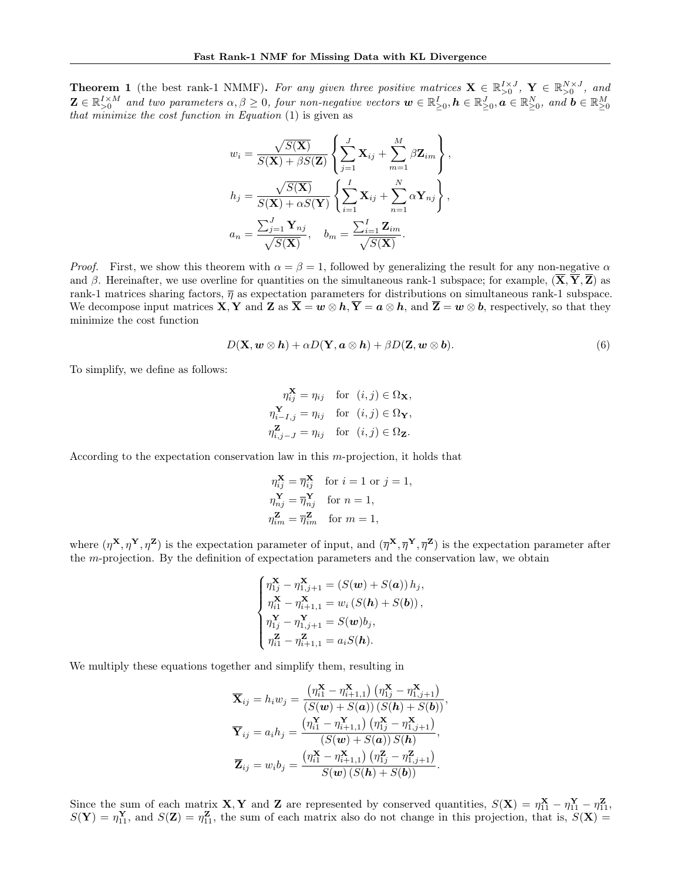**Theorem 1** (the best rank-1 NMMF). For any given three positive matrices  $X \in \mathbb{R}_{>0}^{N \times J}$ ,  $Y \in \mathbb{R}_{>0}^{N \times J}$ , and  $\mathbf{Z} \in \mathbb{R}_{\geq 0}^{I \times M}$  and two parameters  $\alpha, \beta \geq 0$ , four non-negative vectors  $\mathbf{w} \in \mathbb{R}_{\geq 0}^{I}$ ,  $\mathbf{h} \in \mathbb{R}_{\geq 0}^{J}$ ,  $\mathbf{a} \in \mathbb{R}_{\geq 0}^{N}$ , and  $\mathbf{b} \in \mathbb{R}_{\geq 0}^{M}$  that minimize the cost

$$
w_i = \frac{\sqrt{S(\mathbf{X})}}{S(\mathbf{X}) + \beta S(\mathbf{Z})} \left\{ \sum_{j=1}^J \mathbf{X}_{ij} + \sum_{m=1}^M \beta \mathbf{Z}_{im} \right\},
$$
  
\n
$$
h_j = \frac{\sqrt{S(\mathbf{X})}}{S(\mathbf{X}) + \alpha S(\mathbf{Y})} \left\{ \sum_{i=1}^I \mathbf{X}_{ij} + \sum_{n=1}^N \alpha \mathbf{Y}_{nj} \right\},
$$
  
\n
$$
a_n = \frac{\sum_{j=1}^J \mathbf{Y}_{nj}}{\sqrt{S(\mathbf{X})}}, \quad b_m = \frac{\sum_{i=1}^I \mathbf{Z}_{im}}{\sqrt{S(\mathbf{X})}}.
$$

*Proof.* First, we show this theorem with  $\alpha = \beta = 1$ , followed by generalizing the result for any non-negative  $\alpha$ and β. Hereinafter, we use overline for quantities on the simultaneous rank-1 subspace; for example,  $(\overline{X}, \overline{Y}, \overline{Z})$  as rank-1 matrices sharing factors,  $\overline{\eta}$  as expectation parameters for distributions on simultaneous rank-1 subspace. We decompose input matrices  $X, Y$  and  $Z$  as  $\overline{X} = w \otimes h$ ,  $\overline{Y} = a \otimes h$ , and  $\overline{Z} = w \otimes b$ , respectively, so that they minimize the cost function

$$
D(\mathbf{X}, \mathbf{w} \otimes \mathbf{h}) + \alpha D(\mathbf{Y}, \mathbf{a} \otimes \mathbf{h}) + \beta D(\mathbf{Z}, \mathbf{w} \otimes \mathbf{b}). \tag{6}
$$

To simplify, we define as follows:

$$
\eta_{ij}^{\mathbf{X}} = \eta_{ij} \quad \text{for} \quad (i,j) \in \Omega_{\mathbf{X}},
$$
  
\n
$$
\eta_{i-I,j}^{\mathbf{Y}} = \eta_{ij} \quad \text{for} \quad (i,j) \in \Omega_{\mathbf{Y}},
$$
  
\n
$$
\eta_{i,j-J}^{\mathbf{Z}} = \eta_{ij} \quad \text{for} \quad (i,j) \in \Omega_{\mathbf{Z}}.
$$

According to the expectation conservation law in this m-projection, it holds that

$$
\begin{aligned}\n\eta_{ij}^{\mathbf{X}} &= \overline{\eta}_{ij}^{\mathbf{X}} \quad \text{for } i = 1 \text{ or } j = 1, \\
\eta_{nj}^{\mathbf{Y}} &= \overline{\eta}_{nj}^{\mathbf{Y}} \quad \text{for } n = 1, \\
\eta_{im}^{\mathbf{Z}} &= \overline{\eta}_{im}^{\mathbf{Z}} \quad \text{for } m = 1,\n\end{aligned}
$$

where  $(\eta^X, \eta^Y, \eta^Z)$  is the expectation parameter of input, and  $(\overline{\eta}^X, \overline{\eta}^Y, \overline{\eta}^Z)$  is the expectation parameter after the m-projection. By the definition of expectation parameters and the conservation law, we obtain

$$
\begin{cases} \eta_{1j}^{\mathbf{X}} - \eta_{1,j+1}^{\mathbf{X}} = \left( S(\mathbf{w}) + S(\mathbf{a}) \right) h_j, \\ \eta_{i1}^{\mathbf{X}} - \eta_{i+1,1}^{\mathbf{X}} = w_i \left( S(\mathbf{h}) + S(\mathbf{b}) \right), \\ \eta_{1j}^{\mathbf{Y}} - \eta_{1,j+1}^{\mathbf{Y}} = S(\mathbf{w}) b_j, \\ \eta_{i1}^{\mathbf{Z}} - \eta_{i+1,1}^{\mathbf{Z}} = a_i S(\mathbf{h}). \end{cases}
$$

We multiply these equations together and simplify them, resulting in

$$
\overline{\mathbf{X}}_{ij} = h_i w_j = \frac{\left(\eta_{i1}^{\mathbf{X}} - \eta_{i+1,1}^{\mathbf{X}}\right) \left(\eta_{1j}^{\mathbf{X}} - \eta_{1,j+1}^{\mathbf{X}}\right)}{\left(S(\mathbf{w}) + S(\mathbf{a})\right) \left(S(\mathbf{h}) + S(\mathbf{b})\right)},
$$
\n
$$
\overline{\mathbf{Y}}_{ij} = a_i h_j = \frac{\left(\eta_{i1}^{\mathbf{X}} - \eta_{i+1,1}^{\mathbf{X}}\right) \left(\eta_{1j}^{\mathbf{X}} - \eta_{1,j+1}^{\mathbf{X}}\right)}{\left(S(\mathbf{w}) + S(\mathbf{a})\right) S(\mathbf{h})},
$$
\n
$$
\overline{\mathbf{Z}}_{ij} = w_i b_j = \frac{\left(\eta_{i1}^{\mathbf{X}} - \eta_{i+1,1}^{\mathbf{X}}\right) \left(\eta_{1j}^{\mathbf{Z}} - \eta_{1,j+1}^{\mathbf{Z}}\right)}{S(\mathbf{w}) \left(S(\mathbf{h}) + S(\mathbf{b})\right)}.
$$

Since the sum of each matrix **X**, Y and Z are represented by conserved quantities,  $S(\mathbf{X}) = \eta_{11}^{\mathbf{X}} - \eta_{11}^{\mathbf{Z}} - \eta_{11}^{\mathbf{Z}}$ ,  $S(Y) = \eta_{11}^{\mathbf{Y}},$  and  $S(\mathbf{Z}) = \eta_{11}^{\mathbf{Z}},$  the sum of each matrix also do not change in this projection, that is,  $S(\mathbf{X}) =$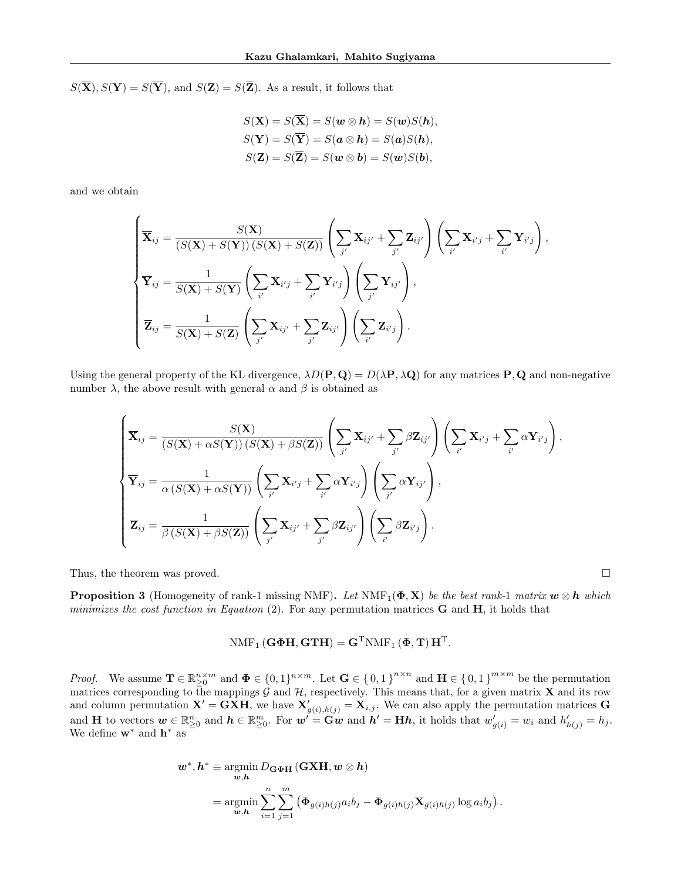$S(\overline{\mathbf{X}}), S(\mathbf{Y}) = S(\overline{\mathbf{Y}})$ , and  $S(\mathbf{Z}) = S(\overline{\mathbf{Z}})$ . As a result, it follows that

$$
S(\mathbf{X}) = S(\overline{\mathbf{X}}) = S(\mathbf{w} \otimes \mathbf{h}) = S(\mathbf{w})S(\mathbf{h}),
$$
  
\n
$$
S(\mathbf{Y}) = S(\overline{\mathbf{Y}}) = S(\mathbf{a} \otimes \mathbf{h}) = S(\mathbf{a})S(\mathbf{h}),
$$
  
\n
$$
S(\mathbf{Z}) = S(\overline{\mathbf{Z}}) = S(\mathbf{w} \otimes \mathbf{b}) = S(\mathbf{w})S(\mathbf{b}),
$$

and we obtain

$$
\begin{cases}\n\overline{\mathbf{X}}_{ij} = \frac{S(\mathbf{X})}{(S(\mathbf{X}) + S(\mathbf{Y}))(S(\mathbf{X}) + S(\mathbf{Z}))} \left( \sum_{j'} \mathbf{X}_{ij'} + \sum_{j'} \mathbf{Z}_{ij'} \right) \left( \sum_{i'} \mathbf{X}_{i'j} + \sum_{i'} \mathbf{Y}_{i'j} \right), \\
\overline{\mathbf{Y}}_{ij} = \frac{1}{S(\mathbf{X}) + S(\mathbf{Y})} \left( \sum_{i'} \mathbf{X}_{i'j} + \sum_{i'} \mathbf{Y}_{i'j} \right) \left( \sum_{j'} \mathbf{Y}_{ij'} \right), \\
\overline{\mathbf{Z}}_{ij} = \frac{1}{S(\mathbf{X}) + S(\mathbf{Z})} \left( \sum_{j'} \mathbf{X}_{ij'} + \sum_{j'} \mathbf{Z}_{ij'} \right) \left( \sum_{i'} \mathbf{Z}_{i'j} \right).\n\end{cases}
$$

Using the general property of the KL divergence,  $\lambda D(\mathbf{P}, \mathbf{Q}) = D(\lambda \mathbf{P}, \lambda \mathbf{Q})$  for any matrices **P**, **Q** and non-negative number  $\lambda$ , the above result with general  $\alpha$  and  $\beta$  is obtained as

$$
\begin{cases}\n\overline{\mathbf{X}}_{ij} = \frac{S(\mathbf{X})}{(S(\mathbf{X}) + \alpha S(\mathbf{Y})) (S(\mathbf{X}) + \beta S(\mathbf{Z}))} \left( \sum_{j'} \mathbf{X}_{ij'} + \sum_{j'} \beta \mathbf{Z}_{ij'} \right) \left( \sum_{i'} \mathbf{X}_{i'j} + \sum_{i'} \alpha \mathbf{Y}_{i'j} \right), \\
\overline{\mathbf{Y}}_{ij} = \frac{1}{\alpha (S(\mathbf{X}) + \alpha S(\mathbf{Y}))} \left( \sum_{i'} \mathbf{X}_{i'j} + \sum_{i'} \alpha \mathbf{Y}_{i'j} \right) \left( \sum_{j'} \alpha \mathbf{Y}_{ij'} \right), \\
\overline{\mathbf{Z}}_{ij} = \frac{1}{\beta (S(\mathbf{X}) + \beta S(\mathbf{Z}))} \left( \sum_{j'} \mathbf{X}_{ij'} + \sum_{j'} \beta \mathbf{Z}_{ij'} \right) \left( \sum_{i'} \beta \mathbf{Z}_{i'j} \right).\n\end{cases}
$$

Thus, the theorem was proved.

**Proposition 3** (Homogeneity of rank-1 missing NMF). Let NMF<sub>1</sub>( $\Phi$ , X) be the best rank-1 matrix  $w \otimes h$  which minimizes the cost function in Equation (2). For any permutation matrices  $\bf{G}$  and  $\bf{H}$ , it holds that

# $\text{NMF}_1\left(\mathbf{G}\boldsymbol{\Phi}\mathbf{H},\mathbf{G}\mathbf{T}\mathbf{H}\right)=\mathbf{G}^{\text{T}}\text{NMF}_1\left(\boldsymbol{\Phi},\mathbf{T}\right)\mathbf{H}^{\text{T}}.$

*Proof.* We assume  $\mathbf{T} \in \mathbb{R}_{\geq 0}^{n \times m}$  and  $\mathbf{\Phi} \in \{0,1\}^{n \times m}$ . Let  $\mathbf{G} \in \{0,1\}^{n \times n}$  and  $\mathbf{H} \in \{0,1\}^{m \times m}$  be the permutation matrices corresponding to the mappings G and H, respectively. This means that, for a given matrix X and its row and column permutation  $X' = G X H$ , we have  $X'_{g(i),h(j)} = X_{i,j}$ . We can also apply the permutation matrices G and **H** to vectors  $\mathbf{w} \in \mathbb{R}_{\geq 0}^n$  and  $\mathbf{h} \in \mathbb{R}_{\geq 0}^m$ . For  $\mathbf{w}' = \mathbf{G}\mathbf{w}$  and  $\mathbf{h}' = \mathbf{H}\mathbf{h}$ , it holds that  $w'_{g(i)} = w_i$  and  $h'_{h(j)} = h_j$ . We define  $\mathbf{w}^*$  and  $\mathbf{h}^*$  as

$$
\begin{split} \mathbf{w}^*, \mathbf{h}^* &\equiv \operatorname*{argmin}_{\mathbf{w}, \mathbf{h}} D_{\mathbf{G}\Phi\mathbf{H}} \left( \mathbf{G}\mathbf{X}\mathbf{H}, \mathbf{w} \otimes \mathbf{h} \right) \\ &= \operatorname*{argmin}_{\mathbf{w}, \mathbf{h}} \sum_{i=1}^n \sum_{j=1}^m \left( \mathbf{\Phi}_{g(i)h(j)} a_i b_j - \mathbf{\Phi}_{g(i)h(j)} \mathbf{X}_{g(i)h(j)} \log a_i b_j \right). \end{split}
$$